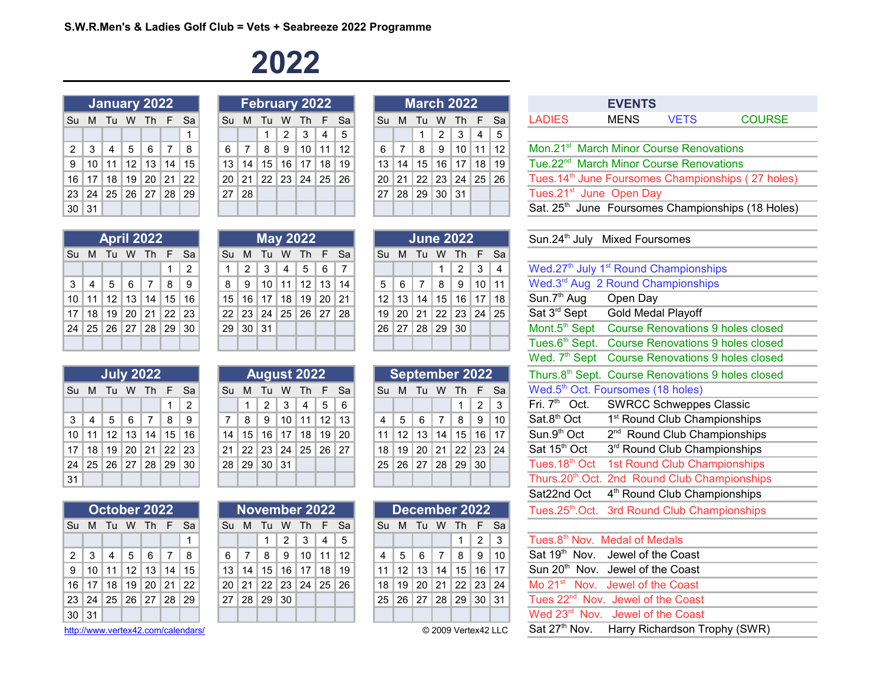#### **2022**

|       |                                 |  | <b>January 2022</b> |   |
|-------|---------------------------------|--|---------------------|---|
| Su    |                                 |  | M Tu W Th F Sa      |   |
|       |                                 |  |                     | 1 |
|       | $2$   3   4   5   6   7   8     |  |                     |   |
|       | 9   10   11   12   13   14   15 |  |                     |   |
|       | 16 17 18 19 20 21 22            |  |                     |   |
|       | 23 24 25 26 27 28 29            |  |                     |   |
| 30 31 |                                 |  |                     |   |

|                      | January 2022 |                   |                 |                |                |    |             |                | February 2022     |           |             |     |    |   |                |                 | <b>March 2022</b> |                     |                |     |               | <b>EVENTS</b>                       |  |
|----------------------|--------------|-------------------|-----------------|----------------|----------------|----|-------------|----------------|-------------------|-----------|-------------|-----|----|---|----------------|-----------------|-------------------|---------------------|----------------|-----|---------------|-------------------------------------|--|
| Su M Tu W Th F Sa    |              |                   |                 |                |                |    |             |                | Su M Tu W Th F Sa |           |             |     |    |   |                |                 | Su M Tu W Th F Sa |                     |                |     | <b>LADIES</b> | <b>MENS</b>                         |  |
|                      |              |                   |                 |                |                |    |             |                | $\mathbf{1}$      |           | $2 \mid 3$  | 4 5 |    |   |                | $\overline{1}$  | $\mathcal{P}$     | $\mathbf{3}$        | $\overline{4}$ | l 5 |               |                                     |  |
| $2 \mid 3$           |              | $\overline{4}$    | 5               | 6              | $\overline{7}$ | 8  | $6^{\circ}$ | $\overline{7}$ |                   | $8$   $9$ | $10$ 11     |     | 12 | 6 | $\overline{7}$ | 8               | 9                 | 10 11 12            |                |     |               | Mon.21 <sup>st</sup> March Minor Co |  |
| 9   10   11          |              |                   |                 | $12$   13   14 |                | 15 | 13          | 14             | 15 <sup>1</sup>   |           | 16 17 18 19 |     |    |   | 13 14          | 15 <sup>1</sup> |                   | $16$   17   18   19 |                |     |               | Tue.22 <sup>nd</sup> March Minor Co |  |
| $16$   17            |              | <sup>∣</sup> 18 ∣ | 19 <sup>1</sup> | 20 21 22       |                |    |             | $20$   21      | 22 23 24 25 26    |           |             |     |    |   |                | $20$   21   22  | 23 24 25 26       |                     |                |     |               | Tues.14 <sup>th</sup> June Foursome |  |
| 23 24 25 26 27 28 29 |              |                   |                 |                |                |    |             | 27 28          |                   |           |             |     |    |   |                | 27   28   29    | 30 31             |                     |                |     |               | Tues.21 <sup>st</sup> June Open Da  |  |
| 30 31                |              |                   |                 |                |                |    |             |                |                   |           |             |     |    |   |                |                 |                   |                     |                |     |               | Sat. 25th June Foursome             |  |
|                      |              |                   |                 |                |                |    |             |                |                   |           |             |     |    |   |                |                 |                   |                     |                |     |               |                                     |  |

|    |           | <b>March 2022</b>                |  |    |
|----|-----------|----------------------------------|--|----|
| Su |           | M Tu W Th F                      |  | Sa |
|    |           | $1 \mid 2 \mid 3 \mid 4$         |  | 5  |
| 6  | $\vert$ 7 | 8   9   10   11   12             |  |    |
|    |           | 13   14   15   16   17   18   19 |  |    |
|    |           | 20 21 22 23 24 25 26             |  |    |
|    |           | 27 28 29 30 31                   |  |    |
|    |           |                                  |  |    |

|               | EVENIS                                              |             |                                                                |
|---------------|-----------------------------------------------------|-------------|----------------------------------------------------------------|
| <b>LADIES</b> | MENS                                                | <b>VETS</b> | <b>COURSE</b>                                                  |
|               |                                                     |             |                                                                |
|               | Mon.21 <sup>st</sup> March Minor Course Renovations |             |                                                                |
|               | Tue.22 <sup>nd</sup> March Minor Course Renovations |             |                                                                |
|               |                                                     |             | Tues. 14 <sup>th</sup> June Foursomes Championships (27 holes) |
|               | Tues.21 <sup>st</sup> June Open Day                 |             |                                                                |
|               |                                                     |             | Sat. 25 <sup>th</sup> June Foursomes Championships (18 Holes)  |

|  |  |                   |                                                   |                                                                   |  |            |                 |                                                                                                                                     |                   |  |  |                                    |                                                                                                             | Sun.24 <sup>th</sup> July Mixed Four              |  |
|--|--|-------------------|---------------------------------------------------|-------------------------------------------------------------------|--|------------|-----------------|-------------------------------------------------------------------------------------------------------------------------------------|-------------------|--|--|------------------------------------|-------------------------------------------------------------------------------------------------------------|---------------------------------------------------|--|
|  |  |                   |                                                   |                                                                   |  |            |                 |                                                                                                                                     |                   |  |  |                                    |                                                                                                             |                                                   |  |
|  |  | $\overline{2}$    |                                                   |                                                                   |  |            |                 |                                                                                                                                     |                   |  |  |                                    |                                                                                                             | Wed.27 <sup>th</sup> July 1 <sup>st</sup> Round C |  |
|  |  |                   |                                                   |                                                                   |  |            |                 |                                                                                                                                     |                   |  |  |                                    |                                                                                                             | Wed.3rd Aug 2 Round Ch                            |  |
|  |  |                   |                                                   |                                                                   |  |            |                 |                                                                                                                                     |                   |  |  |                                    |                                                                                                             | Sun.7 <sup>th</sup> Aug  Open Day                 |  |
|  |  |                   |                                                   |                                                                   |  |            |                 |                                                                                                                                     |                   |  |  |                                    |                                                                                                             | Sat 3rd Sept Gold Meda                            |  |
|  |  |                   |                                                   |                                                                   |  |            |                 |                                                                                                                                     |                   |  |  |                                    |                                                                                                             | Mont.5 <sup>th</sup> Sept Course Re               |  |
|  |  |                   |                                                   |                                                                   |  |            |                 |                                                                                                                                     |                   |  |  |                                    |                                                                                                             | Tues.6th Sept. Course Re                          |  |
|  |  | <b>April 2022</b> | 3   4   5   6   7   8   9<br>24 25 26 27 28 29 30 | Su M Tu W Th F Sa<br>10 11 12 13 14 15 16<br>17 18 19 20 21 22 23 |  | $29$ 30 31 | <b>May 2022</b> | $1 \mid 2 \mid 3 \mid 4 \mid 5 \mid 6 \mid 7$<br>$8$   9   10   11   12   13   14<br>$15$ 16 17 18 19 20 21<br>22 23 24 25 26 27 28 | Su M Tu W Th F Sa |  |  | <b>June 2022</b><br>26 27 28 29 30 | Su M Tu W Th F Sa<br>$1 \mid 2 \mid 3 \mid 4$<br>$12$   13   14   15   16   17   18<br>19 20 21 22 23 24 25 | 5 6 7 8 9 10 11                                   |  |

|                |  | <b>July 2022</b>                 |   |           |
|----------------|--|----------------------------------|---|-----------|
| Su             |  | M Tu W Th F                      |   | Sa        |
|                |  |                                  | 1 | $\vert$ 2 |
| 3 <sup>1</sup> |  | 4 5 6 7 8 9                      |   |           |
|                |  | 10 11 12 13 14 15 16             |   |           |
|                |  | 17   18   19   20   21   22   23 |   |           |
|                |  | 24   25   26   27   28   29   30 |   |           |
| 31             |  |                                  |   |           |

|              |       |  | October 2022                     |     |
|--------------|-------|--|----------------------------------|-----|
| Su           |       |  | M Tu W Th F                      | Sa  |
|              |       |  |                                  | 1   |
| $\mathbf{2}$ | l 3 l |  | 4 5 6 7                          | - 8 |
| 9            |       |  | $10$   11   12   13   14   15    |     |
|              |       |  | 16   17   18   19   20   21   22 |     |
|              |       |  | 23   24   25   26   27   28   29 |     |
| 30           | 31    |  |                                  |     |

<http://www.vertex42.com/calendars/>

| <b>April 2022</b> |    |                 |                 |                |                 |    | <b>May 2022</b> |    |                 |       |      |                 |    |    |    | <b><u> June 2022</u></b> |                              |                       |
|-------------------|----|-----------------|-----------------|----------------|-----------------|----|-----------------|----|-----------------|-------|------|-----------------|----|----|----|--------------------------|------------------------------|-----------------------|
| Tu                | W  | <b>Th</b>       | F.              | - Sa           | Su              | м  | -Tu             | W  | - Th            |       | F Sa | Su              | м  | Tu | W  | Th                       | $F-Si$                       |                       |
|                   |    |                 |                 | $\overline{2}$ |                 | 2  | 3               | 4  | 5               | 6     |      |                 |    |    |    | 2                        | 3                            | $\overline{4}$        |
| 5                 | 6  |                 | 8               | 9              | 8               | 9  | 10              | 11 | 12 <sup>2</sup> | 13    | 14   | 5               | 6  |    | 8  | 9                        | 10                           | $\mathbf{1}^{\prime}$ |
| $12 \overline{ }$ | 13 | 14 <sub>1</sub> | 15 <sup>1</sup> | 16             | 15 <sup>1</sup> | 16 | 17              | 18 | 19              | 20 21 |      | 12 <sup>°</sup> | 13 | 14 | 15 | 16 <sup>1</sup>          | $17$   18                    |                       |
| 19                | 20 | 21              | 22 23           |                | 22 <sub>1</sub> | 23 | 24              | 25 | 26              | 27    | 28   | 19              | 20 | 21 |    |                          | $22 \mid 23 \mid 24 \mid 25$ |                       |
| 26                | 27 | 28              | 29              | 30             | 29              | 30 | 31              |    |                 |       |      | 26              | 27 | 28 | 29 | 30                       |                              |                       |
|                   |    |                 |                 |                |                 |    |                 |    |                 |       |      |                 |    |    |    |                          |                              |                       |

|    |    | <b>July 2022</b> |    |    |    |     |    |    | <b>August 2022</b> |    |     |    |      |    |    | <b>September 2022</b> |    |     |        |    |
|----|----|------------------|----|----|----|-----|----|----|--------------------|----|-----|----|------|----|----|-----------------------|----|-----|--------|----|
| Su | м  | Тu               | W  | Th | F. | -Sa | Su | м  | Тu                 | w  | ∠Th |    | E Sa | Su | м  | Tu                    | W  | Th. | - F Sa |    |
|    |    |                  |    |    |    | 2   |    |    | 2                  | 3  | 4   | 5  | 6    |    |    |                       |    |     | 2      | 3  |
| 3  | 4  | 5                | 6  |    | 8  | 9   | 7  | 8  | 9                  | 10 | 11  | 12 | 13   |    | 5  | 6                     | 7  | 8   | 9      | 10 |
| 10 | 11 | 12               | 13 | 14 | 15 | 16  | 14 | 15 | 16                 | 17 | 18  | 19 | 20   | 11 | 12 | 13                    | 14 | 15  | 16     | 17 |
| 17 | 18 | 19               | 20 | 21 | 22 | 23  | 21 | 22 | 23                 | 24 | 25  | 26 | 27   | 18 | 19 | 20                    | 21 | 22  | 23     | 24 |
| 24 | 25 | 26               | 27 | 28 | 29 | 30  | 28 | 29 | 30                 | 31 |     |    |      | 25 | 26 | 27                    | 28 | 29  | 30     |    |
| 31 |    |                  |    |    |    |     |    |    |                    |    |     |    |      |    |    |                       |    |     |        |    |

|            |       |    | October 2022 |                                 |  |                |             | November 2022                                    |                |                                  |  |                        |  | December 2022                      |                                               | Tues.25th.Oct. 3rd Round Club Championships   |
|------------|-------|----|--------------|---------------------------------|--|----------------|-------------|--------------------------------------------------|----------------|----------------------------------|--|------------------------|--|------------------------------------|-----------------------------------------------|-----------------------------------------------|
|            |       |    |              | Su M Tu W Th F Sa               |  |                |             | Su M Tu W Th F Sa                                |                |                                  |  |                        |  | Su M Tu W Th F Sa                  |                                               |                                               |
|            |       |    |              |                                 |  | 1 <sup>1</sup> |             | $2 \mid 3$                                       | $\overline{4}$ |                                  |  |                        |  | 2                                  | -3                                            | Tues.8 <sup>th</sup> Nov. Medal of Medals     |
| $2 \mid 3$ |       | -4 | 5678         |                                 |  |                |             | $6 \mid 7 \mid 8 \mid 9 \mid 10 \mid 11 \mid 12$ |                |                                  |  | $4 \mid 5 \mid 6 \mid$ |  |                                    | $17$ 8 9 10                                   | Sat 19 <sup>th</sup> Nov. Jewel of the Coast  |
|            |       |    |              | 9   10   11   12   13   14   15 |  |                |             | $13$   14   15   16   17   18   19               |                |                                  |  |                        |  | $11$   12   13   14   15   16   17 |                                               | Sun 20 <sup>th</sup> Nov. Jewel of the Coast  |
|            |       |    |              | 16 17 18 19 20 21 22            |  |                |             |                                                  |                | 20   21   22   23   24   25   26 |  |                        |  |                                    | <sup> </sup> 18   19   20   21   22   23   24 | Mo 21 <sup>st</sup> Nov. Jewel of the Coast   |
|            |       |    |              | 23 24 25 26 27 28 29            |  |                | 27 28 29 30 |                                                  |                |                                  |  |                        |  | 25 26 27 28 29 30 31               |                                               | Tues 22 <sup>nd</sup> Nov. Jewel of the Coast |
|            | 30 31 |    |              |                                 |  |                |             |                                                  |                |                                  |  |                        |  |                                    |                                               | Wed 23 <sup>rd</sup> Nov. Jewel of the Coast  |
|            |       |    |              |                                 |  |                |             |                                                  |                |                                  |  |                        |  |                                    |                                               |                                               |

|                                    |  | <u>June 2022</u>         |  |
|------------------------------------|--|--------------------------|--|
| Su M Tu W Th F Sa                  |  |                          |  |
|                                    |  | $1 \mid 2 \mid 3 \mid 4$ |  |
| 5   6   7   8   9   10   11        |  |                          |  |
| $12$   13   14   15   16   17   18 |  |                          |  |
| 19 20 21 22 23 24 25               |  |                          |  |
| 26 27 28 29 30                     |  |                          |  |
|                                    |  |                          |  |

|                |  | September 2022                   |                   |  |
|----------------|--|----------------------------------|-------------------|--|
|                |  | Su M Tu W Th F Sa                |                   |  |
|                |  |                                  | $1 \mid 2 \mid 3$ |  |
| 4 <sup>1</sup> |  | 5 6 7 8 9 10                     |                   |  |
|                |  | 11   12   13   14   15   16   17 |                   |  |
|                |  | 18 19 20 21 22 23 24             |                   |  |
|                |  | 25 26 27 28 29 30                |                   |  |
|                |  |                                  |                   |  |

| December 2022 |  |  |  |                                  |   |    |  |  |  |  |  |  |
|---------------|--|--|--|----------------------------------|---|----|--|--|--|--|--|--|
| Su            |  |  |  | M Tu W Th F                      |   | Sa |  |  |  |  |  |  |
|               |  |  |  | $1 \perp$                        | 2 | 3  |  |  |  |  |  |  |
| 4             |  |  |  | 5 6 7 8 9 10                     |   |    |  |  |  |  |  |  |
|               |  |  |  | 11   12   13   14   15   16   17 |   |    |  |  |  |  |  |  |
|               |  |  |  | 18   19   20   21   22   23   24 |   |    |  |  |  |  |  |  |
|               |  |  |  | 25 26 27 28 29 30 31             |   |    |  |  |  |  |  |  |
|               |  |  |  |                                  |   |    |  |  |  |  |  |  |
| $\cdots$      |  |  |  |                                  |   |    |  |  |  |  |  |  |

|                                                                 |                |    | <b>April 2022</b> |                |    |                                                               |  |                 |                |                |    | <b>May 2022</b>                                                       |       |    |           | <b>June 2022</b> |     |                |    |                | Sun.24 <sup>th</sup> July<br><b>Mixed Foursomes</b> |                                                                        |
|-----------------------------------------------------------------|----------------|----|-------------------|----------------|----|---------------------------------------------------------------|--|-----------------|----------------|----------------|----|-----------------------------------------------------------------------|-------|----|-----------|------------------|-----|----------------|----|----------------|-----------------------------------------------------|------------------------------------------------------------------------|
| Sul                                                             | M              | Tu | W                 | Th             | F  | Sa                                                            |  | Su              | M              |                | W  | Th                                                                    |       | Sa | Su        | M                | Tu  |                | Th | F              | Sa                                                  |                                                                        |
|                                                                 |                |    |                   |                | 1  | $\overline{2}$                                                |  | 1               | $\overline{2}$ | 3              | 4  | 5                                                                     | 6     | 7  |           |                  |     | 1              | 2  | 3              | 4                                                   | Wed.27 <sup>th</sup> July 1 <sup>st</sup> Round Championships          |
| 3                                                               | 4              | 5  | 6                 | 7              | 8  | 9                                                             |  | 8               | 9              | 10             | 11 | 12                                                                    | 13    | 14 | 5         | 6                | 7   | 8              | 9  | 10             | 11                                                  | Wed.3rd Aug 2 Round Championships                                      |
| 10                                                              | 11             | 12 | 13                | 14             | 15 | 16                                                            |  | 15              | 16             | 17             | 18 | 19                                                                    | 20    | 21 | 12        | 13               | 14  | 15             | 16 | 17             | 18                                                  | Sun.7 <sup>th</sup> Aug<br>Open Day                                    |
| 17                                                              | 18             | 19 | 20                | 21             | 22 | 23                                                            |  | 22              | 23             | 24             | 25 | 26                                                                    | 27    | 28 | 19        | 20               | 21  | 22             | 23 | 24             | 25                                                  | Sat 3 <sup>rd</sup> Sept<br><b>Gold Medal Playoff</b>                  |
| 24                                                              | 25             | 26 | 27                | 28             | 29 | 30                                                            |  | 29              | 30 31          |                |    |                                                                       |       |    | 26        | 27               | 28  | 29             | 30 |                |                                                     | Mont.5 <sup>th</sup> Sept<br><b>Course Renovations 9 holes closed</b>  |
|                                                                 |                |    |                   |                |    |                                                               |  |                 |                |                |    |                                                                       |       |    |           |                  |     |                |    |                |                                                     | Tues.6 <sup>th</sup> Sept.<br><b>Course Renovations 9 holes closed</b> |
|                                                                 |                |    |                   |                |    |                                                               |  |                 |                |                |    | Wed. 7 <sup>th</sup> Sept<br><b>Course Renovations 9 holes closed</b> |       |    |           |                  |     |                |    |                |                                                     |                                                                        |
| <b>July 2022</b><br><b>September 2022</b><br><b>August 2022</b> |                |    |                   |                |    | Thurs.8 <sup>th</sup> Sept. Course Renovations 9 holes closed |  |                 |                |                |    |                                                                       |       |    |           |                  |     |                |    |                |                                                     |                                                                        |
| Su                                                              | M              | Tu | W                 | <b>Th</b>      | F  | Sa                                                            |  | Su              | M              | Tu             | W  | Th                                                                    | F     | Sa | <b>Su</b> | M                | Tu  | W              | Th | F              | Sa                                                  | Wed.5 <sup>th</sup> Oct. Foursomes (18 holes)                          |
|                                                                 |                |    |                   |                |    | 2                                                             |  |                 |                | $\overline{c}$ | 3  | 4                                                                     | 5     | 6  |           |                  |     |                |    | $\overline{c}$ | 3                                                   | Fri. $7th$<br>Oct.<br><b>SWRCC Schweppes Classic</b>                   |
| 3                                                               | $\overline{4}$ | 5  | 6                 | $\overline{7}$ | 8  | 9                                                             |  | $\overline{7}$  | 8              | 9              | 10 | 11                                                                    | 12    | 13 | 4         | 5                | 6   | $\overline{7}$ | 8  | 9              | 10                                                  | Sat.8 <sup>th</sup> Oct<br>1 <sup>st</sup> Round Club Championships    |
| 10                                                              | 11             | 12 | 13                | 14             | 15 | 16                                                            |  | 14              | 15             | 16             | 17 | 18 <sup>1</sup>                                                       | 19    | 20 | 11        | 12               | 13  | 14             | 15 | 16             | 17                                                  | Sun.9 <sup>th</sup> Oct<br>2 <sup>nd</sup> Round Club Championships    |
| 17                                                              | 18             | 19 | 20                | 21             | 22 | 23                                                            |  | 21              | 22             | 23             | 24 | 25                                                                    | 26 27 |    | 18        | 19               | -20 | 21             | 22 | 23             | 24                                                  | Sat 15 <sup>th</sup> Oct<br>3rd Round Club Championships               |
| 24                                                              | 25             | 26 | 27                | 28             | 29 | 30                                                            |  | 28 <sup>1</sup> | 29             | 30 31          |    |                                                                       |       |    | 25        | 26               | 27  | 28             | 29 | 30             |                                                     | Tues. 18th Oct<br>1st Round Club Championships                         |
| 31                                                              |                |    |                   |                |    |                                                               |  |                 |                |                |    |                                                                       |       |    |           |                  |     |                |    |                |                                                     | Thurs.20 <sup>th</sup> .Oct. 2nd Round Club Championships              |
|                                                                 |                |    |                   |                |    |                                                               |  |                 |                |                |    |                                                                       |       |    |           |                  |     |                |    |                |                                                     | 4 <sup>th</sup> Round Club Championships<br>Sat22nd Oct                |
|                                                                 |                |    |                   |                |    |                                                               |  |                 |                |                |    |                                                                       |       |    |           |                  |     |                |    |                |                                                     |                                                                        |

| bu M lu W lh F Sal                            |  |  |  |  |       |                      |      |                | ISU MI IU WIIN FI SAI                         |  |                 | ISU MI IU WIIN F SAI |  |                      |                                                         |
|-----------------------------------------------|--|--|--|--|-------|----------------------|------|----------------|-----------------------------------------------|--|-----------------|----------------------|--|----------------------|---------------------------------------------------------|
|                                               |  |  |  |  |       | $\sim$ 2             | ∣ 3. | $\overline{4}$ |                                               |  |                 |                      |  | $2 \mid 3$           | Tues.8 <sup>th</sup> Nov. Medal of Medals               |
| $2 \mid 3 \mid 4 \mid 5 \mid 6 \mid 7 \mid 8$ |  |  |  |  | 6 7 8 | │ 9 │10 │11 │12 │    |      |                |                                               |  | $4 \mid 5 \mid$ |                      |  | 6 7 8 9 10           | Sat 19 <sup>th</sup> Nov. Jewel of the Coast            |
| 9   10   11   12   13   14   15               |  |  |  |  |       |                      |      |                | <sup>∖</sup> 13   14   15   16   17   18   19 |  |                 |                      |  | 11 12 13 14 15 16 17 | Sun 20 <sup>th</sup> Nov. Jewel of the Coast            |
| 6   17   18   19   20   21   22               |  |  |  |  |       | 20 21 22 23 24 25 26 |      |                |                                               |  |                 |                      |  | 18 19 20 21 22 23 24 | Mo 21 <sup>st</sup> Nov. Jewel of the Coast             |
| 23   24   25   26   27   28   29              |  |  |  |  |       | 27 28 29 30          |      |                |                                               |  |                 |                      |  | 25 26 27 28 29 30 31 | Tues 22 <sup>nd</sup> Nov. Jewel of the Coast           |
| 30   31                                       |  |  |  |  |       |                      |      |                |                                               |  |                 |                      |  |                      | Wed 23rd Nov. Jewel of the Coast                        |
| ttp://www.vertex42.com/calendars/             |  |  |  |  |       |                      |      |                |                                               |  |                 |                      |  | © 2009 Vertex42 LLC  | Sat 27 <sup>th</sup> Nov. Harry Richardson Trophy (SWR) |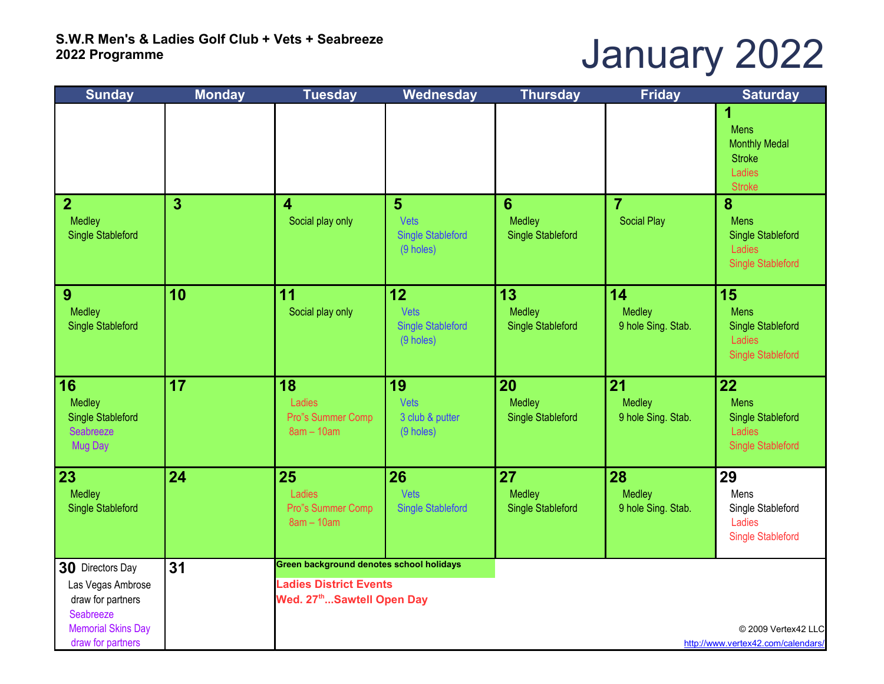# January 2022

| <b>Sunday</b>                                                                                                             | <b>Monday</b>  | <b>Tuesday</b>                                                                                                      | Wednesday                                           | <b>Thursday</b>                          | <b>Friday</b>                        | <b>Saturday</b>                                                                      |
|---------------------------------------------------------------------------------------------------------------------------|----------------|---------------------------------------------------------------------------------------------------------------------|-----------------------------------------------------|------------------------------------------|--------------------------------------|--------------------------------------------------------------------------------------|
|                                                                                                                           |                |                                                                                                                     |                                                     |                                          |                                      | 1<br><b>Mens</b><br><b>Monthly Medal</b><br><b>Stroke</b><br>Ladies<br><b>Stroke</b> |
| $\overline{2}$<br>Medley<br><b>Single Stableford</b>                                                                      | 3 <sup>5</sup> | 4<br>Social play only                                                                                               | 5<br>Vets<br><b>Single Stableford</b><br>(9 holes)  | 6<br>Medley<br><b>Single Stableford</b>  | $\overline{7}$<br><b>Social Play</b> | 8<br><b>Mens</b><br><b>Single Stableford</b><br>Ladies<br><b>Single Stableford</b>   |
| 9<br>Medley<br><b>Single Stableford</b>                                                                                   | 10             | 11<br>Social play only                                                                                              | 12<br>Vets<br><b>Single Stableford</b><br>(9 holes) | 13<br>Medley<br><b>Single Stableford</b> | 14<br>Medley<br>9 hole Sing. Stab.   | 15<br><b>Mens</b><br><b>Single Stableford</b><br>Ladies<br><b>Single Stableford</b>  |
| 16<br>Medley<br>Single Stableford<br>Seabreeze<br>Mug Day                                                                 | 17             | 18<br>Ladies<br>Pro"s Summer Comp<br>$8am - 10am$                                                                   | 19<br>Vets<br>3 club & putter<br>(9 holes)          | 20<br>Medley<br><b>Single Stableford</b> | 21<br>Medley<br>9 hole Sing. Stab.   | 22<br><b>Mens</b><br><b>Single Stableford</b><br>Ladies<br><b>Single Stableford</b>  |
| 23<br>Medley<br><b>Single Stableford</b>                                                                                  | 24             | 25<br>Ladies<br>Pro"s Summer Comp<br>$8am - 10am$                                                                   | 26<br>Vets<br><b>Single Stableford</b>              | 27<br>Medley<br><b>Single Stableford</b> | 28<br>Medley<br>9 hole Sing. Stab.   | 29<br>Mens<br>Single Stableford<br>Ladies<br><b>Single Stableford</b>                |
| 30 Directors Day<br>Las Vegas Ambrose<br>draw for partners<br>Seabreeze<br><b>Memorial Skins Day</b><br>draw for partners | 31             | Green background denotes school holidays<br><b>Ladies District Events</b><br>Wed. 27 <sup>th</sup> Sawtell Open Day |                                                     |                                          |                                      | © 2009 Vertex42 LLC<br>http://www.vertex42.com/calendars/                            |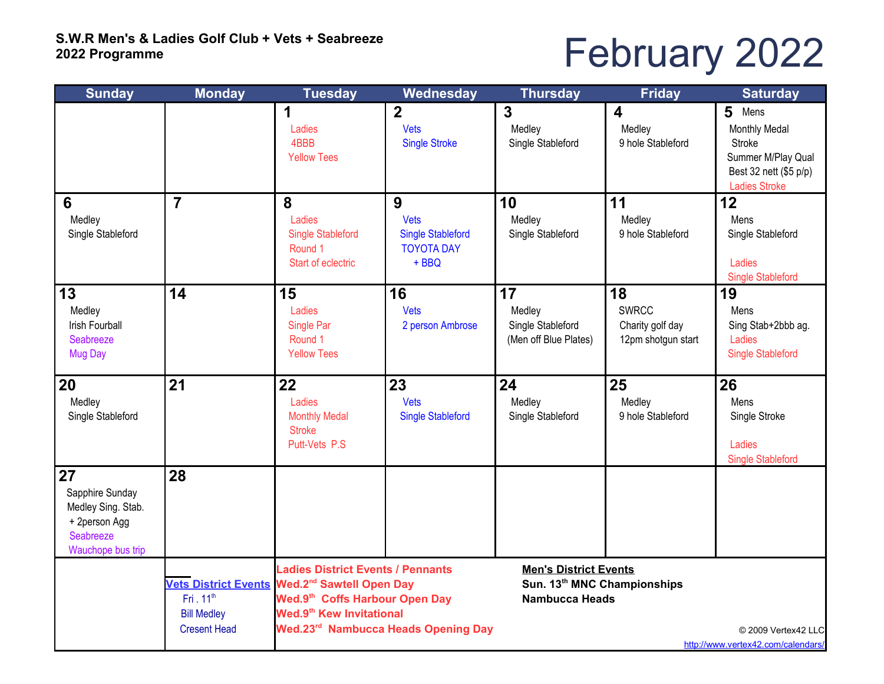# February 2022

| <b>Sunday</b>                                                                                  | <b>Monday</b>                                                      | <b>Tuesday</b>                                                                                                                                                                                                                     | <b>Wednesday</b>                                                      | <b>Thursday</b>                                                                      | <b>Friday</b>                                                | <b>Saturday</b>                                                                                              |
|------------------------------------------------------------------------------------------------|--------------------------------------------------------------------|------------------------------------------------------------------------------------------------------------------------------------------------------------------------------------------------------------------------------------|-----------------------------------------------------------------------|--------------------------------------------------------------------------------------|--------------------------------------------------------------|--------------------------------------------------------------------------------------------------------------|
|                                                                                                |                                                                    | 1<br>Ladies<br>4BBB<br><b>Yellow Tees</b>                                                                                                                                                                                          | $\overline{2}$<br><b>Vets</b><br><b>Single Stroke</b>                 | 3<br>Medley<br>Single Stableford                                                     | $\boldsymbol{4}$<br>Medley<br>9 hole Stableford              | 5<br>Mens<br>Monthly Medal<br>Stroke<br>Summer M/Play Qual<br>Best 32 nett (\$5 p/p)<br><b>Ladies Stroke</b> |
| $6\phantom{1}6$<br>Medley<br>Single Stableford                                                 | $\overline{7}$                                                     | 8<br>Ladies<br><b>Single Stableford</b><br>Round 1<br>Start of eclectric                                                                                                                                                           | 9<br>Vets<br><b>Single Stableford</b><br><b>TOYOTA DAY</b><br>$+$ BBQ | 10<br>Medley<br>Single Stableford                                                    | 11<br>Medley<br>9 hole Stableford                            | 12<br>Mens<br>Single Stableford<br>Ladies<br><b>Single Stableford</b>                                        |
| 13<br>Medley<br>Irish Fourball<br>Seabreeze<br><b>Mug Day</b>                                  | 14                                                                 | 15<br>Ladies<br>Single Par<br>Round 1<br><b>Yellow Tees</b>                                                                                                                                                                        | 16<br><b>Vets</b><br>2 person Ambrose                                 | 17<br>Medley<br>Single Stableford<br>(Men off Blue Plates)                           | 18<br><b>SWRCC</b><br>Charity golf day<br>12pm shotgun start | 19<br>Mens<br>Sing Stab+2bbb ag.<br>Ladies<br><b>Single Stableford</b>                                       |
| 20<br>Medley<br>Single Stableford                                                              | 21                                                                 | 22<br>Ladies<br><b>Monthly Medal</b><br><b>Stroke</b><br>Putt-Vets P.S                                                                                                                                                             | 23<br><b>Vets</b><br><b>Single Stableford</b>                         | 24<br>Medley<br>Single Stableford                                                    | 25<br>Medley<br>9 hole Stableford                            | 26<br>Mens<br>Single Stroke<br>Ladies<br><b>Single Stableford</b>                                            |
| 27<br>Sapphire Sunday<br>Medley Sing. Stab.<br>+ 2person Agg<br>Seabreeze<br>Wauchope bus trip | 28                                                                 |                                                                                                                                                                                                                                    |                                                                       |                                                                                      |                                                              |                                                                                                              |
|                                                                                                | Fri. 11 <sup>th</sup><br><b>Bill Medley</b><br><b>Cresent Head</b> | <b>Ladies District Events / Pennants</b><br>Vets District Events Wed.2 <sup>nd</sup> Sawtell Open Day<br>Wed.9 <sup>th</sup> Coffs Harbour Open Day<br>Wed.9 <sup>th</sup> Kew Invitational<br>Wed.23rd Nambucca Heads Opening Day |                                                                       | <b>Men's District Events</b><br>Sun. 13th MNC Championships<br><b>Nambucca Heads</b> |                                                              | © 2009 Vertex42 LLC<br>http://www.vertex42.com/calendars/                                                    |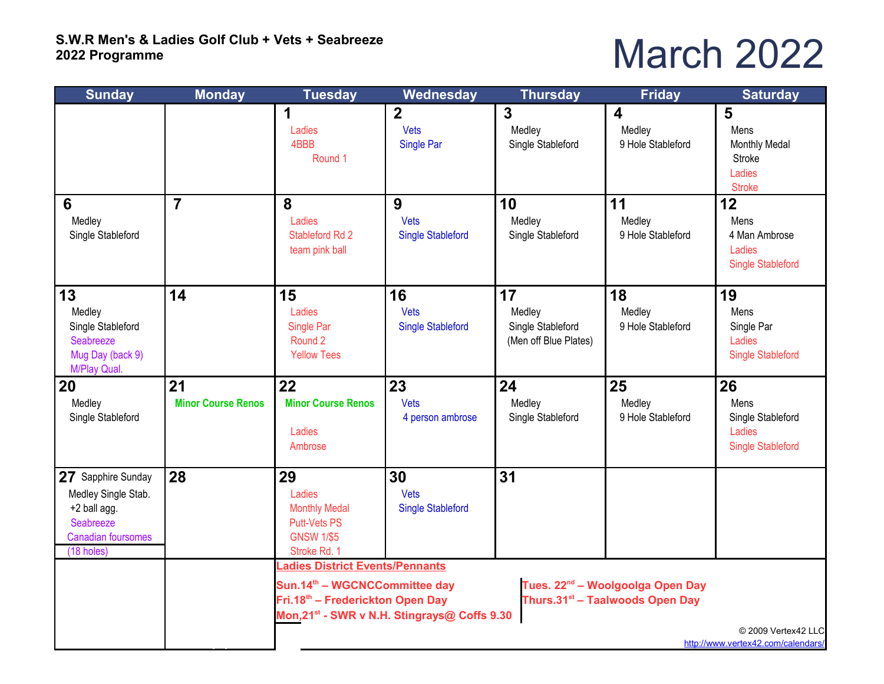### March 2022

| <b>Sunday</b>                                                                                                     | <b>Monday</b>                   | <b>Tuesday</b>                                                                                                              | Wednesday                                                | <b>Thursday</b>                                            | <b>Friday</b>                                                                               | <b>Saturday</b>                                                       |
|-------------------------------------------------------------------------------------------------------------------|---------------------------------|-----------------------------------------------------------------------------------------------------------------------------|----------------------------------------------------------|------------------------------------------------------------|---------------------------------------------------------------------------------------------|-----------------------------------------------------------------------|
|                                                                                                                   |                                 | 1<br>Ladies<br>4BBB<br>Round 1                                                                                              | $\overline{2}$<br>Vets<br>Single Par                     | $\overline{3}$<br>Medley<br>Single Stableford              | $\overline{\mathbf{4}}$<br>Medley<br>9 Hole Stableford                                      | 5<br>Mens<br>Monthly Medal<br>Stroke<br>Ladies<br><b>Stroke</b>       |
| 6<br>Medley<br>Single Stableford                                                                                  | $\overline{7}$                  | 8<br>Ladies<br>Stableford Rd 2<br>team pink ball                                                                            | 9<br>Vets<br><b>Single Stableford</b>                    | 10<br>Medley<br>Single Stableford                          | 11<br>Medley<br>9 Hole Stableford                                                           | 12<br>Mens<br>4 Man Ambrose<br>Ladies<br><b>Single Stableford</b>     |
| 13<br>Medley<br>Single Stableford<br>Seabreeze<br>Mug Day (back 9)<br>M/Play Qual.                                | 14                              | 15<br>Ladies<br>Single Par<br>Round 2<br><b>Yellow Tees</b>                                                                 | 16<br>Vets<br><b>Single Stableford</b>                   | 17<br>Medley<br>Single Stableford<br>(Men off Blue Plates) | 18<br>Medley<br>9 Hole Stableford                                                           | 19<br>Mens<br>Single Par<br>Ladies<br><b>Single Stableford</b>        |
| 20<br>Medley<br>Single Stableford                                                                                 | 21<br><b>Minor Course Renos</b> | 22<br><b>Minor Course Renos</b><br>Ladies<br>Ambrose                                                                        | 23<br><b>Vets</b><br>4 person ambrose                    | 24<br>Medley<br>Single Stableford                          | 25<br>Medley<br>9 Hole Stableford                                                           | 26<br>Mens<br>Single Stableford<br>Ladies<br><b>Single Stableford</b> |
| 27 Sapphire Sunday<br>Medley Single Stab.<br>+2 ball agg.<br>Seabreeze<br><b>Canadian foursomes</b><br>(18 holes) | 28                              | 29<br>Ladies<br><b>Monthly Medal</b><br><b>Putt-Vets PS</b><br><b>GNSW 1/\$5</b><br>Stroke Rd. 1                            | 30<br>Vets<br><b>Single Stableford</b>                   | 31                                                         |                                                                                             |                                                                       |
|                                                                                                                   |                                 | adies District Events/Pennants<br>Sun.14 <sup>th</sup> - WGCNCCommittee day<br>Fri.18 <sup>th</sup> – Frederickton Open Day | Mon, 21 <sup>st</sup> - SWR v N.H. Stingrays@ Coffs 9.30 |                                                            | Tues. 22 <sup>nd</sup> – Woolgoolga Open Day<br>Thurs.31 <sup>st</sup> - Taalwoods Open Day | © 2009 Vertex42 LLC<br>http://www.vertex42.com/calendars/             |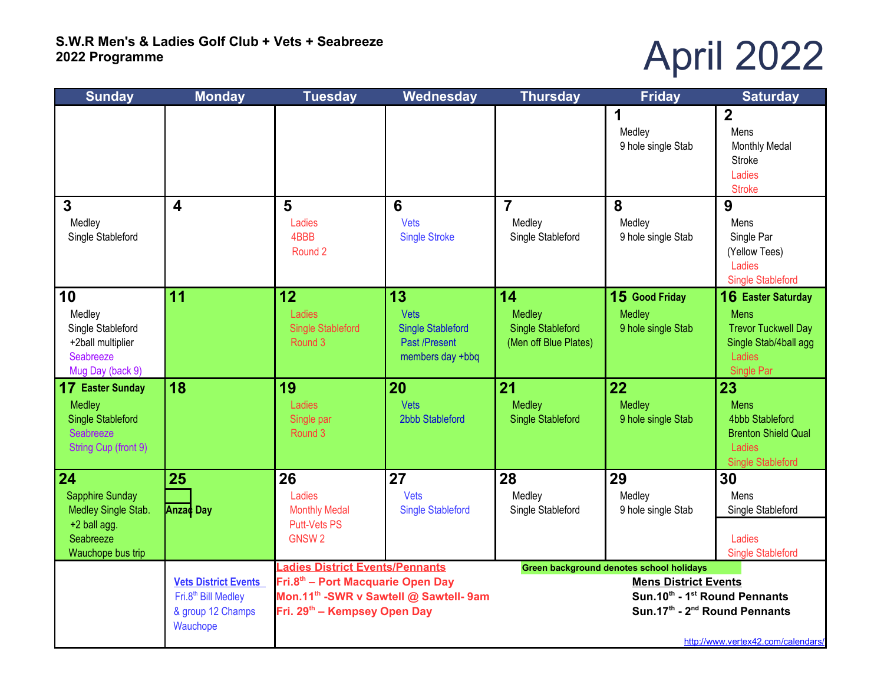# April 2022

| <b>Sunday</b>                                                                                      | <b>Monday</b>                                                                                   | <b>Tuesday</b>                                                                                                                                                                            | Wednesday                                                                          | <b>Thursday</b>                                                                                                                                                                             | <b>Friday</b>                                  | <b>Saturday</b>                                                                                                         |  |
|----------------------------------------------------------------------------------------------------|-------------------------------------------------------------------------------------------------|-------------------------------------------------------------------------------------------------------------------------------------------------------------------------------------------|------------------------------------------------------------------------------------|---------------------------------------------------------------------------------------------------------------------------------------------------------------------------------------------|------------------------------------------------|-------------------------------------------------------------------------------------------------------------------------|--|
|                                                                                                    |                                                                                                 |                                                                                                                                                                                           |                                                                                    |                                                                                                                                                                                             | 1<br>Medley<br>9 hole single Stab              | $\overline{2}$<br>Mens<br><b>Monthly Medal</b><br>Stroke<br>Ladies<br><b>Stroke</b>                                     |  |
| $\overline{3}$<br>Medley<br>Single Stableford                                                      | $\overline{\mathbf{4}}$                                                                         | 5<br>Ladies<br>4BBB<br>Round 2                                                                                                                                                            | 6<br>Vets<br><b>Single Stroke</b>                                                  | $\overline{7}$<br>Medley<br>Single Stableford                                                                                                                                               | 8<br>Medley<br>9 hole single Stab              | 9<br>Mens<br>Single Par<br>(Yellow Tees)<br>Ladies<br><b>Single Stableford</b>                                          |  |
| 10<br>Medley<br>Single Stableford<br>+2ball multiplier<br>Seabreeze<br>Mug Day (back 9)            | 11                                                                                              | 12<br>Ladies<br><b>Single Stableford</b><br>Round 3                                                                                                                                       | 13<br>Vets<br><b>Single Stableford</b><br><b>Past /Present</b><br>members day +bbq | 14<br>Medley<br><b>Single Stableford</b><br>(Men off Blue Plates)                                                                                                                           | 15 Good Friday<br>Medley<br>9 hole single Stab | <b>16 Easter Saturday</b><br><b>Mens</b><br><b>Trevor Tuckwell Day</b><br>Single Stab/4ball agg<br>Ladies<br>Single Par |  |
| <b>17 Easter Sunday</b><br>Medley<br><b>Single Stableford</b><br>Seabreeze<br>String Cup (front 9) | 18                                                                                              | 19<br>Ladies<br>Single par<br>Round 3                                                                                                                                                     | 20<br>Vets<br>2bbb Stableford                                                      | 21<br><b>Medley</b><br><b>Single Stableford</b>                                                                                                                                             | 22<br><b>Medley</b><br>9 hole single Stab      | 23<br><b>Mens</b><br><b>4bbb Stableford</b><br><b>Brenton Shield Qual</b><br>Ladies<br><b>Single Stableford</b>         |  |
| 24<br>Sapphire Sunday<br>Medley Single Stab.<br>+2 ball agg.<br>Seabreeze<br>Wauchope bus trip     | 25<br>Anza¢ Day                                                                                 | 26<br>Ladies<br><b>Monthly Medal</b><br><b>Putt-Vets PS</b><br><b>GNSW2</b>                                                                                                               | 27<br>Vets<br><b>Single Stableford</b>                                             | 28<br>Medley<br>Single Stableford                                                                                                                                                           | 29<br>Medley<br>9 hole single Stab             | 30<br>Mens<br>Single Stableford<br>Ladies<br><b>Single Stableford</b>                                                   |  |
|                                                                                                    | <b>Vets District Events</b><br>Fri.8 <sup>th</sup> Bill Medley<br>& group 12 Champs<br>Wauchope | <b>Ladies District Events/Pennants</b><br>Fri.8 <sup>th</sup> – Port Macquarie Open Day<br>Mon.11 <sup>th</sup> -SWR v Sawtell @ Sawtell- 9am<br>Fri. 29 <sup>th</sup> – Kempsey Open Day |                                                                                    | Green background denotes school holidays<br><b>Mens District Events</b><br>Sun.10th - 1st Round Pennants<br>Sun.17th - 2 <sup>nd</sup> Round Pennants<br>http://www.vertex42.com/calendars/ |                                                |                                                                                                                         |  |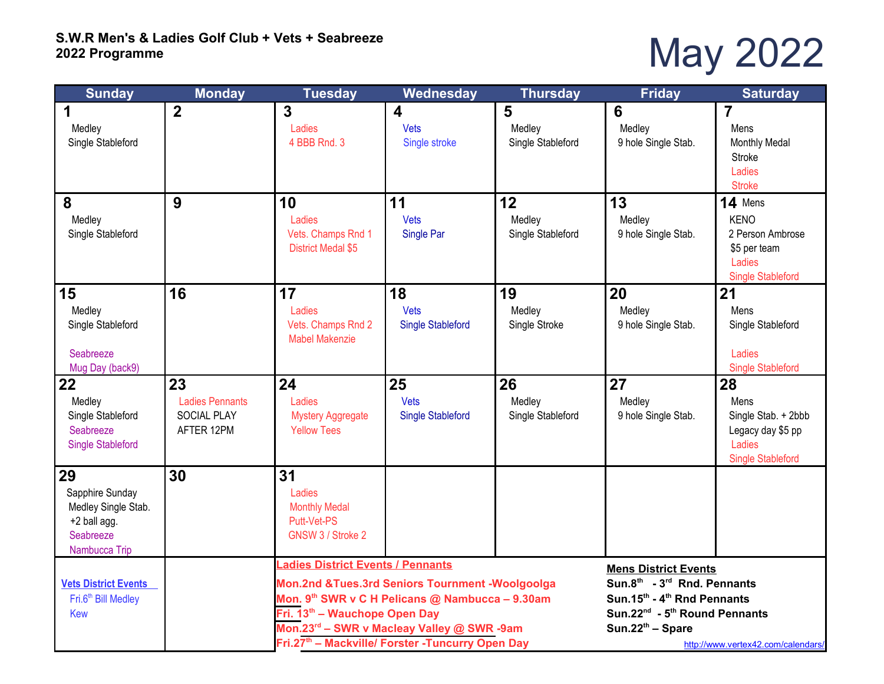### May 2022

| <b>Monday</b><br><b>Sunday</b>      |                              | <b>Tuesday</b>                                               | Wednesday                                        | <b>Thursday</b>                  | <b>Friday</b>                                         | <b>Saturday</b>                          |  |
|-------------------------------------|------------------------------|--------------------------------------------------------------|--------------------------------------------------|----------------------------------|-------------------------------------------------------|------------------------------------------|--|
| 1<br>Medley<br>Single Stableford    | $\overline{2}$               | 3<br>Ladies<br>4 BBB Rnd. 3                                  | $\overline{\mathbf{4}}$<br>Vets<br>Single stroke | 5<br>Medley<br>Single Stableford | 6<br>Medley<br>9 hole Single Stab.                    | 7<br>Mens<br>Monthly Medal               |  |
|                                     |                              |                                                              |                                                  |                                  |                                                       | <b>Stroke</b><br>Ladies<br><b>Stroke</b> |  |
| 8                                   | 9                            | 10                                                           | 11                                               | 12                               | 13                                                    | 14 Mens                                  |  |
| Medley                              |                              | Ladies                                                       | Vets                                             | Medley                           | Medley                                                | <b>KENO</b>                              |  |
| Single Stableford                   |                              | Vets. Champs Rnd 1<br><b>District Medal \$5</b>              | Single Par                                       | Single Stableford                | 9 hole Single Stab.                                   | 2 Person Ambrose<br>\$5 per team         |  |
|                                     |                              |                                                              |                                                  |                                  |                                                       | Ladies                                   |  |
|                                     |                              |                                                              |                                                  |                                  |                                                       | <b>Single Stableford</b>                 |  |
| 15                                  | 16                           | 17                                                           | 18                                               | 19                               | 20                                                    | 21                                       |  |
| Medley                              |                              | Ladies                                                       | Vets                                             | Medley                           | Medley                                                | Mens                                     |  |
| Single Stableford                   |                              | Vets. Champs Rnd 2<br><b>Mabel Makenzie</b>                  | <b>Single Stableford</b>                         | Single Stroke                    | 9 hole Single Stab.                                   | Single Stableford                        |  |
| Seabreeze                           |                              |                                                              |                                                  |                                  |                                                       | Ladies                                   |  |
| Mug Day (back9)                     |                              | 24                                                           | 25                                               |                                  | 27                                                    | <b>Single Stableford</b>                 |  |
| 22<br>Medley                        | 23<br><b>Ladies Pennants</b> | Ladies                                                       | Vets                                             | 26<br>Medley                     | Medley                                                | 28<br>Mens                               |  |
| Single Stableford                   | <b>SOCIAL PLAY</b>           | <b>Mystery Aggregate</b>                                     | <b>Single Stableford</b>                         | Single Stableford                | 9 hole Single Stab.                                   | Single Stab. + 2bbb                      |  |
| Seabreeze                           | AFTER 12PM                   | <b>Yellow Tees</b>                                           |                                                  |                                  |                                                       | Legacy day \$5 pp                        |  |
| <b>Single Stableford</b>            |                              |                                                              |                                                  |                                  |                                                       | Ladies                                   |  |
|                                     |                              |                                                              |                                                  |                                  |                                                       | <b>Single Stableford</b>                 |  |
| 29                                  | 30                           | 31                                                           |                                                  |                                  |                                                       |                                          |  |
| Sapphire Sunday                     |                              | Ladies                                                       |                                                  |                                  |                                                       |                                          |  |
| Medley Single Stab.<br>+2 ball agg. |                              | <b>Monthly Medal</b><br>Putt-Vet-PS                          |                                                  |                                  |                                                       |                                          |  |
| Seabreeze                           |                              | GNSW 3 / Stroke 2                                            |                                                  |                                  |                                                       |                                          |  |
| Nambucca Trip                       |                              |                                                              |                                                  |                                  |                                                       |                                          |  |
|                                     |                              | <b>Ladies District Events / Pennants</b>                     |                                                  |                                  | <b>Mens District Events</b>                           |                                          |  |
| <b>Vets District Events</b>         |                              | Mon.2nd &Tues.3rd Seniors Tournment -Woolgoolga              |                                                  |                                  | Sun.8 <sup>th</sup> - 3 <sup>rd</sup> Rnd. Pennants   |                                          |  |
| Fri.6 <sup>th</sup> Bill Medley     |                              | Mon. 9 <sup>th</sup> SWR v C H Pelicans @ Nambucca - 9.30am  |                                                  |                                  | Sun.15 <sup>th</sup> - 4 <sup>th</sup> Rnd Pennants   |                                          |  |
| <b>Kew</b>                          |                              | Fri. 13th - Wauchope Open Day                                |                                                  |                                  | Sun.22 <sup>nd</sup> - 5 <sup>th</sup> Round Pennants |                                          |  |
|                                     |                              | Fri.27 <sup>th</sup> - Mackville/ Forster -Tuncurry Open Day |                                                  |                                  | http://www.vertex42.com/calendars/                    |                                          |  |
|                                     |                              | Mon.23rd - SWR v Macleay Valley @ SWR -9am                   |                                                  |                                  | $Sun.22th - Space$                                    |                                          |  |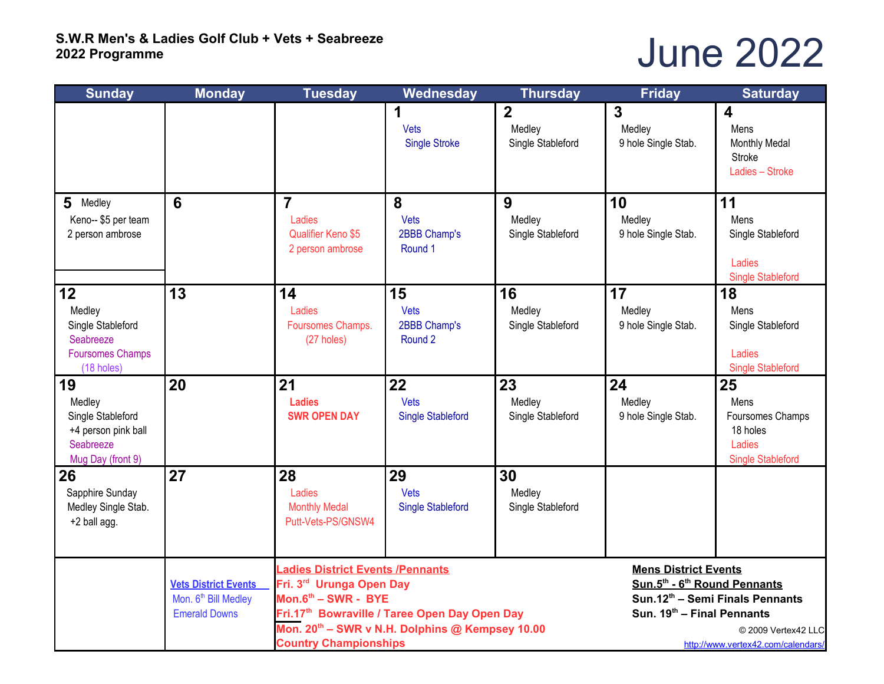#### June 2022

| <b>Sunday</b>                                                                              | <b>Monday</b>                                                                           | <b>Tuesday</b>                                                                                                                                                                                                                             | Wednesday                                | <b>Thursday</b>                                                                                                   | <b>Friday</b>                                                                                            | <b>Saturday</b>                                                                  |
|--------------------------------------------------------------------------------------------|-----------------------------------------------------------------------------------------|--------------------------------------------------------------------------------------------------------------------------------------------------------------------------------------------------------------------------------------------|------------------------------------------|-------------------------------------------------------------------------------------------------------------------|----------------------------------------------------------------------------------------------------------|----------------------------------------------------------------------------------|
|                                                                                            |                                                                                         |                                                                                                                                                                                                                                            | 1<br><b>Vets</b><br><b>Single Stroke</b> | $\overline{2}$<br>Medley<br>Single Stableford                                                                     | $\overline{3}$<br>Medley<br>9 hole Single Stab.                                                          | $\overline{\mathbf{4}}$<br>Mens<br>Monthly Medal<br>Stroke<br>Ladies - Stroke    |
| 5 Medley<br>Keno-- \$5 per team<br>2 person ambrose                                        | 6                                                                                       | $\overline{7}$<br>Ladies<br><b>Qualifier Keno \$5</b><br>2 person ambrose                                                                                                                                                                  | 8<br>Vets<br>2BBB Champ's<br>Round 1     | 9<br>Medley<br>Single Stableford                                                                                  | 10<br>Medley<br>9 hole Single Stab.                                                                      | 11<br>Mens<br>Single Stableford<br>Ladies<br><b>Single Stableford</b>            |
| 12<br>Medley<br>Single Stableford<br>Seabreeze<br><b>Foursomes Champs</b><br>(18 holes)    | 13                                                                                      | 14<br>Ladies<br>Foursomes Champs.<br>(27 holes)                                                                                                                                                                                            | 15<br>Vets<br>2BBB Champ's<br>Round 2    | 16<br>Medley<br>Single Stableford                                                                                 | 17<br>Medley<br>9 hole Single Stab.                                                                      | 18<br>Mens<br>Single Stableford<br>Ladies<br><b>Single Stableford</b>            |
| 19<br>Medley<br>Single Stableford<br>+4 person pink ball<br>Seabreeze<br>Mug Day (front 9) | 20                                                                                      | 21<br><b>Ladies</b><br><b>SWR OPEN DAY</b>                                                                                                                                                                                                 | 22<br>Vets<br><b>Single Stableford</b>   | 23<br>Medley<br>Single Stableford                                                                                 | 24<br>Medley<br>9 hole Single Stab.                                                                      | 25<br>Mens<br>Foursomes Champs<br>18 holes<br>Ladies<br><b>Single Stableford</b> |
| 26<br>Sapphire Sunday<br>Medley Single Stab.<br>+2 ball agg.                               | 27                                                                                      | 28<br>Ladies<br><b>Monthly Medal</b><br>Putt-Vets-PS/GNSW4                                                                                                                                                                                 | 29<br>Vets<br><b>Single Stableford</b>   | 30<br>Medley<br>Single Stableford                                                                                 |                                                                                                          |                                                                                  |
|                                                                                            | <b>Vets District Events</b><br>Mon. 6 <sup>th</sup> Bill Medley<br><b>Emerald Downs</b> | <b>Ladies District Events /Pennants</b><br>Fri. 3rd Urunga Open Day<br>Mon.6th - SWR - BYE<br>Fri.17th Bowraville / Taree Open Day Open Day<br>Mon. 20 <sup>th</sup> - SWR v N.H. Dolphins @ Kempsey 10.00<br><b>Country Championships</b> |                                          | <b>Mens District Events</b><br>Sun.5 <sup>th</sup> - 6 <sup>th</sup> Round Pennants<br>Sun. 19th - Final Pennants | Sun.12 <sup>th</sup> - Semi Finals Pennants<br>© 2009 Vertex42 LLC<br>http://www.vertex42.com/calendars/ |                                                                                  |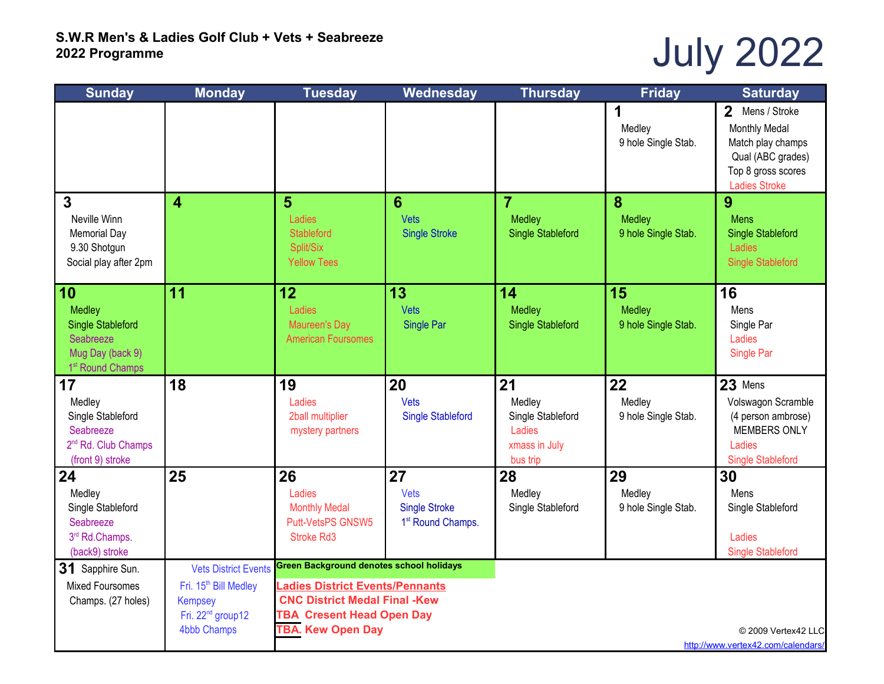# July 2022

| <b>Sunday</b>                         | <b>Monday</b>                                       | <b>Tuesday</b>                                               | Wednesday                        | <b>Thursday</b>                           | <b>Friday</b>                 | <b>Saturday</b>                          |
|---------------------------------------|-----------------------------------------------------|--------------------------------------------------------------|----------------------------------|-------------------------------------------|-------------------------------|------------------------------------------|
|                                       |                                                     |                                                              |                                  |                                           | 1<br>Medley                   | 2 Mens / Stroke<br><b>Monthly Medal</b>  |
|                                       |                                                     |                                                              |                                  |                                           | 9 hole Single Stab.           | Match play champs                        |
|                                       |                                                     |                                                              |                                  |                                           |                               | Qual (ABC grades)<br>Top 8 gross scores  |
|                                       |                                                     |                                                              |                                  |                                           |                               | <b>Ladies Stroke</b>                     |
| $\overline{3}$                        | $\overline{\mathbf{4}}$                             | 5                                                            | 6                                | $\overline{7}$                            | 8                             | 9                                        |
| Neville Winn<br><b>Memorial Day</b>   |                                                     | Ladies<br><b>Stableford</b>                                  | Vets<br><b>Single Stroke</b>     | <b>Medley</b><br><b>Single Stableford</b> | Medley<br>9 hole Single Stab. | <b>Mens</b><br><b>Single Stableford</b>  |
| 9.30 Shotgun                          |                                                     | Split/Six                                                    |                                  |                                           |                               | Ladies                                   |
| Social play after 2pm                 |                                                     | <b>Yellow Tees</b>                                           |                                  |                                           |                               | <b>Single Stableford</b>                 |
| 10                                    | 11                                                  | 12                                                           | 13                               | 14                                        | 15                            | 16                                       |
| Medley                                |                                                     | Ladies                                                       | Vets                             | <b>Medley</b>                             | Medley                        | Mens                                     |
| <b>Single Stableford</b><br>Seabreeze |                                                     | Maureen's Day<br><b>American Foursomes</b>                   | Single Par                       | <b>Single Stableford</b>                  | 9 hole Single Stab.           | Single Par<br>Ladies                     |
| Mug Day (back 9)                      |                                                     |                                                              |                                  |                                           |                               | Single Par                               |
| 1 <sup>st</sup> Round Champs          |                                                     |                                                              |                                  |                                           |                               |                                          |
| 17                                    | 18                                                  | 19                                                           | 20                               | 21                                        | 22                            | 23 Mens                                  |
| Medley<br>Single Stableford           |                                                     | Ladies<br>2ball multiplier                                   | Vets<br><b>Single Stableford</b> | Medley<br>Single Stableford               | Medley<br>9 hole Single Stab. | Volswagon Scramble<br>(4 person ambrose) |
| Seabreeze                             |                                                     | mystery partners                                             |                                  | Ladies                                    |                               | <b>MEMBERS ONLY</b>                      |
| 2 <sup>nd</sup> Rd. Club Champs       |                                                     |                                                              |                                  | xmass in July                             |                               | Ladies                                   |
| (front 9) stroke<br>24                | 25                                                  | 26                                                           | 27                               | bus trip<br>28                            | 29                            | <b>Single Stableford</b><br>30           |
| Medley                                |                                                     | Ladies                                                       | Vets                             | Medley                                    | Medley                        | Mens                                     |
| Single Stableford                     |                                                     | <b>Monthly Medal</b>                                         | <b>Single Stroke</b>             | Single Stableford                         | 9 hole Single Stab.           | Single Stableford                        |
| Seabreeze                             |                                                     | <b>Putt-VetsPS GNSW5</b>                                     | 1 <sup>st</sup> Round Champs.    |                                           |                               |                                          |
| 3rd Rd.Champs.<br>(back9) stroke      |                                                     | Stroke Rd3                                                   |                                  |                                           |                               | Ladies<br><b>Single Stableford</b>       |
| 31 Sapphire Sun.                      | <b>Vets District Events</b>                         | <b>Green Background denotes school holidays</b>              |                                  |                                           |                               |                                          |
| <b>Mixed Foursomes</b>                | Fri. 15 <sup>th</sup> Bill Medley                   | <b>Ladies District Events/Pennants</b>                       |                                  |                                           |                               |                                          |
| Champs. (27 holes)                    | <b>Kempsey</b>                                      | <b>CNC District Medal Final -Kew</b>                         |                                  |                                           |                               |                                          |
|                                       | Fri. 22 <sup>nd</sup> group12<br><b>4bbb Champs</b> | <b>TBA Cresent Head Open Day</b><br><b>TBA. Kew Open Day</b> |                                  |                                           |                               | © 2009 Vertex42 LLC                      |
|                                       |                                                     |                                                              |                                  |                                           |                               | http://www.vertex42.com/calendars/       |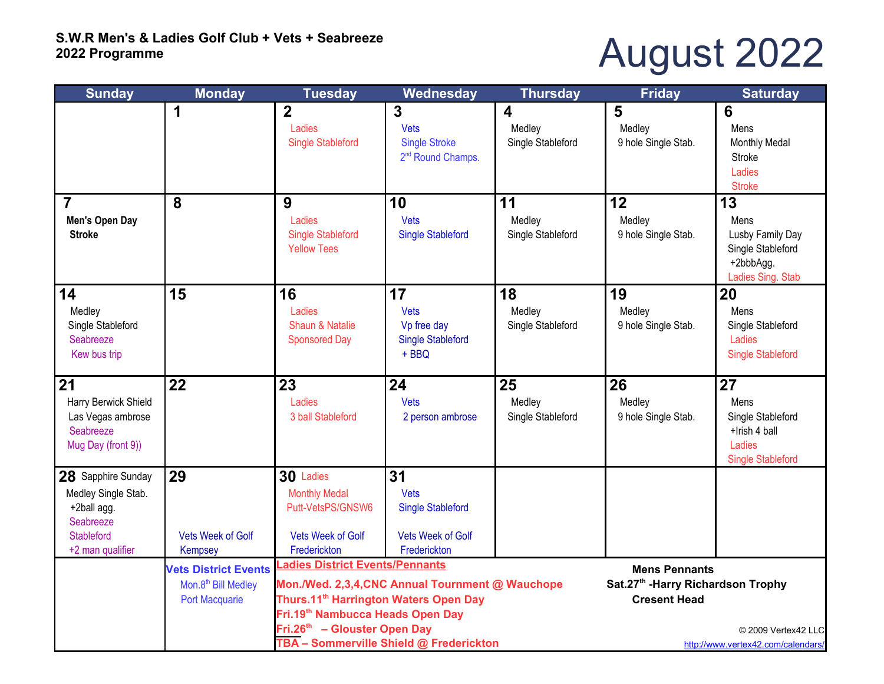## August 2022

| <b>Sunday</b>                                                                                                  | <b>Monday</b>                                                                           | <b>Tuesday</b>                                                                                                                                                                                                                                                                         | Wednesday                                                                                 | <b>Thursday</b>                                                                                                                                | Friday                              | <b>Saturday</b>                                                                        |
|----------------------------------------------------------------------------------------------------------------|-----------------------------------------------------------------------------------------|----------------------------------------------------------------------------------------------------------------------------------------------------------------------------------------------------------------------------------------------------------------------------------------|-------------------------------------------------------------------------------------------|------------------------------------------------------------------------------------------------------------------------------------------------|-------------------------------------|----------------------------------------------------------------------------------------|
|                                                                                                                |                                                                                         | $\overline{2}$<br>Ladies<br><b>Single Stableford</b>                                                                                                                                                                                                                                   | 3<br><b>Vets</b><br><b>Single Stroke</b><br>2 <sup>nd</sup> Round Champs.                 | 4<br>Medley<br>Single Stableford                                                                                                               | 5<br>Medley<br>9 hole Single Stab.  | 6<br>Mens<br><b>Monthly Medal</b><br>Stroke<br>Ladies<br><b>Stroke</b>                 |
| $\overline{7}$<br>Men's Open Day<br><b>Stroke</b>                                                              | 8                                                                                       | 9<br>Ladies<br><b>Single Stableford</b><br><b>Yellow Tees</b>                                                                                                                                                                                                                          | 10<br>Vets<br><b>Single Stableford</b>                                                    | 11<br>Medley<br>Single Stableford                                                                                                              | 12<br>Medley<br>9 hole Single Stab. | 13<br>Mens<br>Lusby Family Day<br>Single Stableford<br>+2bbbAgg.<br>Ladies Sing. Stab  |
| 14<br>Medley<br>Single Stableford<br>Seabreeze<br>Kew bus trip                                                 | 15                                                                                      | 16<br>Ladies<br><b>Shaun &amp; Natalie</b><br><b>Sponsored Day</b>                                                                                                                                                                                                                     | 17<br>Vets<br>Vp free day<br><b>Single Stableford</b><br>$+$ BBQ                          | 18<br>Medley<br>Single Stableford                                                                                                              | 19<br>Medley<br>9 hole Single Stab. | 20<br>Mens<br>Single Stableford<br>Ladies<br><b>Single Stableford</b>                  |
| $\sqrt{21}$<br>Harry Berwick Shield<br>Las Vegas ambrose<br>Seabreeze<br>Mug Day (front 9))                    | 22                                                                                      | 23<br>Ladies<br>3 ball Stableford                                                                                                                                                                                                                                                      | 24<br><b>Vets</b><br>2 person ambrose                                                     | 25<br>Medley<br>Single Stableford                                                                                                              | 26<br>Medley<br>9 hole Single Stab. | 27<br>Mens<br>Single Stableford<br>+Irish 4 ball<br>Ladies<br><b>Single Stableford</b> |
| 28 Sapphire Sunday<br>Medley Single Stab.<br>+2ball agg.<br>Seabreeze<br><b>Stableford</b><br>+2 man qualifier | 29<br><b>Vets Week of Golf</b><br>Kempsey                                               | 30 Ladies<br><b>Monthly Medal</b><br>Putt-VetsPS/GNSW6<br><b>Vets Week of Golf</b><br>Frederickton                                                                                                                                                                                     | 31<br><b>Vets</b><br><b>Single Stableford</b><br><b>Vets Week of Golf</b><br>Frederickton |                                                                                                                                                |                                     |                                                                                        |
|                                                                                                                | <b>Vets District Events</b><br>Mon.8 <sup>th</sup> Bill Medley<br><b>Port Macquarie</b> | <b>Ladies District Events/Pennants</b><br>Mon./Wed. 2,3,4, CNC Annual Tournment @ Wauchope<br>Thurs.11 <sup>th</sup> Harrington Waters Open Day<br>Fri.19 <sup>th</sup> Nambucca Heads Open Day<br>Fri.26 <sup>th</sup> - Glouster Open Day<br>TBA - Sommerville Shield @ Frederickton |                                                                                           | <b>Mens Pennants</b><br>Sat.27th - Harry Richardson Trophy<br><b>Cresent Head</b><br>© 2009 Vertex42 LLC<br>http://www.vertex42.com/calendars/ |                                     |                                                                                        |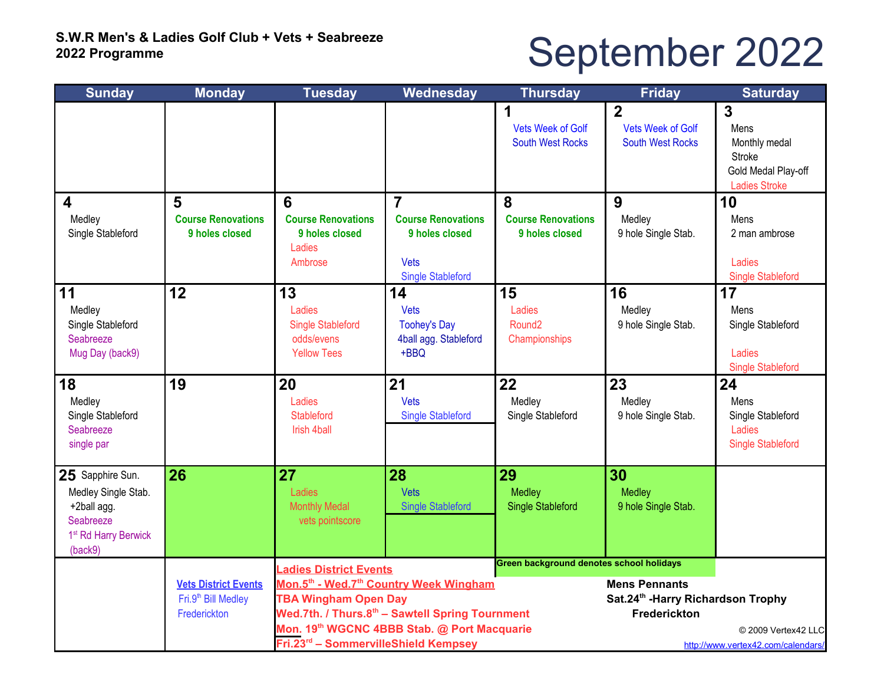# September 2022

| <b>Sunday</b>                    | <b>Monday</b>                               | <b>Tuesday</b>                                                                                                                                                        | Wednesday                                                                       | <b>Thursday</b>                                     | <b>Friday</b>                                                         | <b>Saturday</b>                                                                     |  |
|----------------------------------|---------------------------------------------|-----------------------------------------------------------------------------------------------------------------------------------------------------------------------|---------------------------------------------------------------------------------|-----------------------------------------------------|-----------------------------------------------------------------------|-------------------------------------------------------------------------------------|--|
|                                  |                                             |                                                                                                                                                                       |                                                                                 | <b>Vets Week of Golf</b><br><b>South West Rocks</b> | $\overline{2}$<br><b>Vets Week of Golf</b><br><b>South West Rocks</b> | 3<br>Mens<br>Monthly medal<br>Stroke<br>Gold Medal Play-off<br><b>Ladies Stroke</b> |  |
| $\boldsymbol{4}$                 | 5                                           | 6                                                                                                                                                                     | $\overline{7}$                                                                  | 8                                                   | 9                                                                     | 10                                                                                  |  |
| Medley<br>Single Stableford      | <b>Course Renovations</b><br>9 holes closed | <b>Course Renovations</b><br>9 holes closed<br>Ladies<br>Ambrose                                                                                                      | <b>Course Renovations</b><br>9 holes closed<br>Vets<br><b>Single Stableford</b> | <b>Course Renovations</b><br>9 holes closed         | Medley<br>9 hole Single Stab.                                         | Mens<br>2 man ambrose<br>Ladies<br><b>Single Stableford</b>                         |  |
| 11                               | 12                                          | 13                                                                                                                                                                    | 14                                                                              | 15                                                  | 16                                                                    | 17                                                                                  |  |
| Medley                           |                                             | Ladies                                                                                                                                                                | Vets                                                                            | Ladies                                              | Medley                                                                | Mens                                                                                |  |
| Single Stableford                |                                             | <b>Single Stableford</b>                                                                                                                                              | <b>Toohey's Day</b>                                                             | Round <sub>2</sub>                                  | 9 hole Single Stab.                                                   | Single Stableford                                                                   |  |
| Seabreeze                        |                                             | odds/evens                                                                                                                                                            | 4ball agg. Stableford                                                           | Championships                                       |                                                                       |                                                                                     |  |
| Mug Day (back9)                  |                                             | <b>Yellow Tees</b>                                                                                                                                                    | $+BBQ$                                                                          |                                                     |                                                                       | Ladies<br><b>Single Stableford</b>                                                  |  |
| 18                               | 19                                          | 20                                                                                                                                                                    | 21                                                                              | 22                                                  | 23                                                                    | 24                                                                                  |  |
| Medley                           |                                             | Ladies                                                                                                                                                                | <b>Vets</b>                                                                     | Medley                                              | Medley                                                                | Mens                                                                                |  |
| Single Stableford                |                                             | <b>Stableford</b>                                                                                                                                                     | <b>Single Stableford</b>                                                        | Single Stableford                                   | 9 hole Single Stab.                                                   | Single Stableford                                                                   |  |
| Seabreeze                        |                                             | Irish 4ball                                                                                                                                                           |                                                                                 |                                                     |                                                                       | Ladies                                                                              |  |
| single par                       |                                             |                                                                                                                                                                       |                                                                                 |                                                     |                                                                       | <b>Single Stableford</b>                                                            |  |
| 25 Sapphire Sun.                 | 26                                          | 27                                                                                                                                                                    | 28                                                                              | 29                                                  | 30                                                                    |                                                                                     |  |
| Medley Single Stab.              |                                             | Ladies                                                                                                                                                                | Vets                                                                            | Medley                                              | <b>Medley</b>                                                         |                                                                                     |  |
| +2ball agg.                      |                                             | <b>Monthly Medal</b>                                                                                                                                                  | <b>Single Stableford</b>                                                        | <b>Single Stableford</b>                            | 9 hole Single Stab.                                                   |                                                                                     |  |
| Seabreeze                        |                                             | vets pointscore                                                                                                                                                       |                                                                                 |                                                     |                                                                       |                                                                                     |  |
| 1 <sup>st</sup> Rd Harry Berwick |                                             |                                                                                                                                                                       |                                                                                 |                                                     |                                                                       |                                                                                     |  |
| (back9)                          |                                             |                                                                                                                                                                       |                                                                                 | Green background denotes school holidays            |                                                                       |                                                                                     |  |
|                                  | <b>Vets District Events</b>                 | <b>Ladies District Events</b><br>Mon.5th - Wed.7th Country Week Wingham<br><b>TBA Wingham Open Day</b><br>Wed.7th. / Thurs.8 <sup>th</sup> - Sawtell Spring Tournment |                                                                                 |                                                     | <b>Mens Pennants</b><br>Sat.24th -Harry Richardson Trophy             |                                                                                     |  |
|                                  | Fri.9 <sup>th</sup> Bill Medley             |                                                                                                                                                                       |                                                                                 |                                                     |                                                                       |                                                                                     |  |
|                                  | Frederickton                                |                                                                                                                                                                       |                                                                                 |                                                     | Frederickton                                                          |                                                                                     |  |
|                                  |                                             | Mon. 19 <sup>th</sup> WGCNC 4BBB Stab. @ Port Macquarie                                                                                                               |                                                                                 |                                                     |                                                                       | © 2009 Vertex42 LLC                                                                 |  |
|                                  |                                             | Fri.23rd - SommervilleShield Kempsey<br>http://www.vertex42.com/calendars/                                                                                            |                                                                                 |                                                     |                                                                       |                                                                                     |  |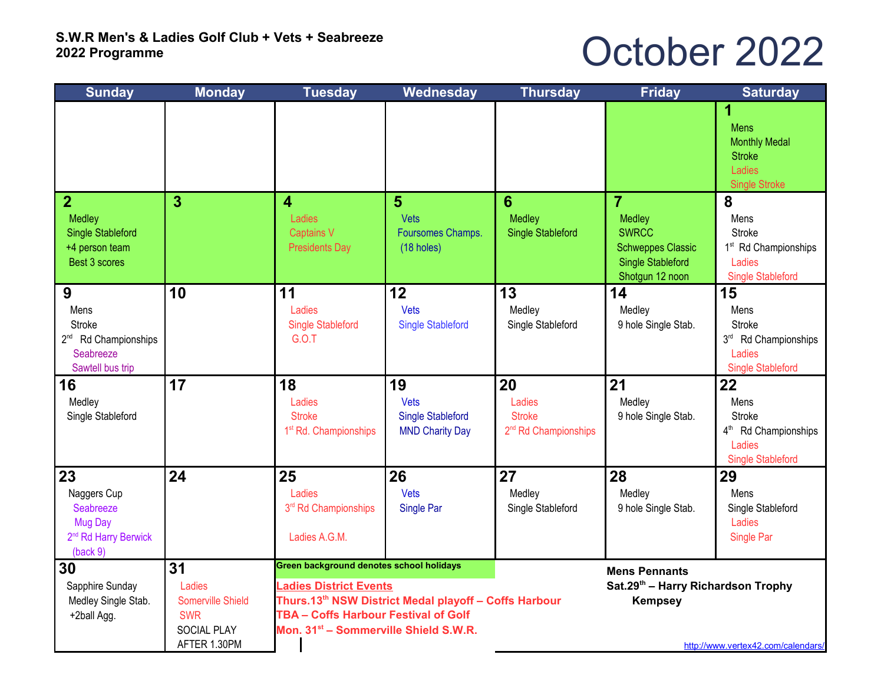#### October 2022

| <b>Sunday</b>                                                                             | <b>Monday</b>                                                                  | <b>Tuesday</b>                                                                                                                                                                                                                                            | Wednesday                                                        | <b>Thursday</b>                                                   | <b>Friday</b>                                                                                                       | <b>Saturday</b>                                                                                       |
|-------------------------------------------------------------------------------------------|--------------------------------------------------------------------------------|-----------------------------------------------------------------------------------------------------------------------------------------------------------------------------------------------------------------------------------------------------------|------------------------------------------------------------------|-------------------------------------------------------------------|---------------------------------------------------------------------------------------------------------------------|-------------------------------------------------------------------------------------------------------|
|                                                                                           |                                                                                |                                                                                                                                                                                                                                                           |                                                                  |                                                                   |                                                                                                                     | 1<br><b>Mens</b><br><b>Monthly Medal</b><br><b>Stroke</b><br>Ladies<br><b>Single Stroke</b>           |
| $\overline{2}$<br>Medley<br><b>Single Stableford</b><br>+4 person team<br>Best 3 scores   | $\overline{3}$                                                                 | 4<br>Ladies<br><b>Captains V</b><br><b>Presidents Day</b>                                                                                                                                                                                                 | 5<br>Vets<br>Foursomes Champs.<br>(18 holes)                     | 6<br>Medley<br><b>Single Stableford</b>                           | $\overline{7}$<br>Medley<br><b>SWRCC</b><br><b>Schweppes Classic</b><br><b>Single Stableford</b><br>Shotgun 12 noon | 8<br>Mens<br><b>Stroke</b><br>1 <sup>st</sup> Rd Championships<br>Ladies<br><b>Single Stableford</b>  |
| 9<br>Mens<br>Stroke<br>2 <sup>nd</sup> Rd Championships<br>Seabreeze<br>Sawtell bus trip  | 10                                                                             | 11<br>Ladies<br><b>Single Stableford</b><br><b>G.O.T</b>                                                                                                                                                                                                  | 12<br>Vets<br><b>Single Stableford</b>                           | 13<br>Medley<br>Single Stableford                                 | 14<br>Medley<br>9 hole Single Stab.                                                                                 | 15<br>Mens<br><b>Stroke</b><br>3rd Rd Championships<br>Ladies<br><b>Single Stableford</b>             |
| 16<br>Medley<br>Single Stableford                                                         | 17                                                                             | 18<br>Ladies<br><b>Stroke</b><br>1 <sup>st</sup> Rd. Championships                                                                                                                                                                                        | 19<br>Vets<br><b>Single Stableford</b><br><b>MND Charity Day</b> | 20<br>Ladies<br><b>Stroke</b><br>2 <sup>nd</sup> Rd Championships | 21<br>Medley<br>9 hole Single Stab.                                                                                 | 22<br>Mens<br><b>Stroke</b><br>4 <sup>th</sup> Rd Championships<br>Ladies<br><b>Single Stableford</b> |
| 23<br>Naggers Cup<br>Seabreeze<br>Mug Day<br>2 <sup>nd</sup> Rd Harry Berwick<br>(back 9) | 24                                                                             | 25<br>Ladies<br>3rd Rd Championships<br>Ladies A.G.M.                                                                                                                                                                                                     | 26<br>Vets<br>Single Par                                         | 27<br>Medley<br>Single Stableford                                 | 28<br>Medley<br>9 hole Single Stab.                                                                                 | 29<br>Mens<br>Single Stableford<br>Ladies<br>Single Par                                               |
| 30<br>Sapphire Sunday<br>Medley Single Stab.<br>+2ball Agg.                               | 31<br>Ladies<br>Somerville Shield<br><b>SWR</b><br>SOCIAL PLAY<br>AFTER 1.30PM | <b>Green background denotes school holidays</b><br><b>Ladies District Events</b><br>Thurs.13 <sup>th</sup> NSW District Medal playoff - Coffs Harbour<br><b>TBA - Coffs Harbour Festival of Golf</b><br>Mon. 31 <sup>st</sup> - Sommerville Shield S.W.R. |                                                                  |                                                                   | <b>Mens Pennants</b><br>Sat.29th - Harry Richardson Trophy<br><b>Kempsey</b>                                        | http://www.vertex42.com/calendars/                                                                    |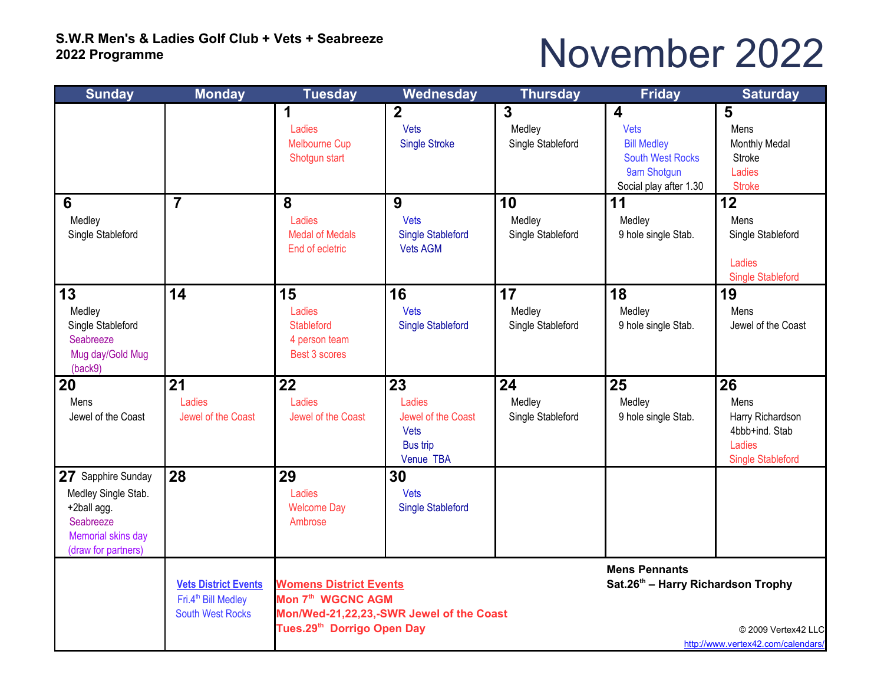### November 2022

| <b>Sunday</b>                                                                                                      | <b>Monday</b>                                                                             | <b>Tuesday</b>                                                                                                                                       | Wednesday                                                           | <b>Thursday</b>                   | <b>Friday</b>                                                                                                             | <b>Saturday</b>                                                                        |  |
|--------------------------------------------------------------------------------------------------------------------|-------------------------------------------------------------------------------------------|------------------------------------------------------------------------------------------------------------------------------------------------------|---------------------------------------------------------------------|-----------------------------------|---------------------------------------------------------------------------------------------------------------------------|----------------------------------------------------------------------------------------|--|
|                                                                                                                    |                                                                                           | 1<br>Ladies<br><b>Melbourne Cup</b><br>Shotgun start                                                                                                 | $\overline{2}$<br>Vets<br><b>Single Stroke</b>                      | 3<br>Medley<br>Single Stableford  | $\overline{\mathbf{4}}$<br>Vets<br><b>Bill Medley</b><br><b>South West Rocks</b><br>9am Shotgun<br>Social play after 1.30 | 5<br>Mens<br>Monthly Medal<br>Stroke<br>Ladies<br><b>Stroke</b>                        |  |
| $6\phantom{1}6$<br>Medley<br>Single Stableford                                                                     | $\overline{7}$                                                                            | 8<br>Ladies<br><b>Medal of Medals</b><br>End of ecletric                                                                                             | 9<br>Vets<br><b>Single Stableford</b><br><b>Vets AGM</b>            | 10<br>Medley<br>Single Stableford | 11<br>Medley<br>9 hole single Stab.                                                                                       | 12<br>Mens<br>Single Stableford<br>Ladies<br><b>Single Stableford</b>                  |  |
| 13<br>Medley<br>Single Stableford<br>Seabreeze<br>Mug day/Gold Mug<br>(back9)                                      | 14                                                                                        | 15<br>Ladies<br><b>Stableford</b><br>4 person team<br>Best 3 scores                                                                                  | 16<br>Vets<br><b>Single Stableford</b>                              | 17<br>Medley<br>Single Stableford | 18<br>Medley<br>9 hole single Stab.                                                                                       | 19<br>Mens<br>Jewel of the Coast                                                       |  |
| 20<br>Mens<br>Jewel of the Coast                                                                                   | 21<br>Ladies<br>Jewel of the Coast                                                        | 22<br>Ladies<br>Jewel of the Coast                                                                                                                   | 23<br>Ladies<br>Jewel of the Coast<br>Vets<br>Bus trip<br>Venue TBA | 24<br>Medley<br>Single Stableford | 25<br>Medley<br>9 hole single Stab.                                                                                       | 26<br>Mens<br>Harry Richardson<br>4bbb+ind. Stab<br>Ladies<br><b>Single Stableford</b> |  |
| 27 Sapphire Sunday<br>Medley Single Stab.<br>+2ball agg.<br>Seabreeze<br>Memorial skins day<br>(draw for partners) | 28                                                                                        | 29<br>Ladies<br><b>Welcome Day</b><br>Ambrose                                                                                                        | 30<br>Vets<br><b>Single Stableford</b>                              |                                   |                                                                                                                           |                                                                                        |  |
|                                                                                                                    | <b>Vets District Events</b><br>Fri.4 <sup>th</sup> Bill Medley<br><b>South West Rocks</b> | <b>Womens District Events</b><br>Mon 7 <sup>th</sup> WGCNC AGM<br>Mon/Wed-21,22,23,-SWR Jewel of the Coast<br>Tues.29 <sup>th</sup> Dorrigo Open Day |                                                                     |                                   | <b>Mens Pennants</b><br>Sat.26th - Harry Richardson Trophy<br>© 2009 Vertex42 LLC<br>http://www.vertex42.com/calendars/   |                                                                                        |  |